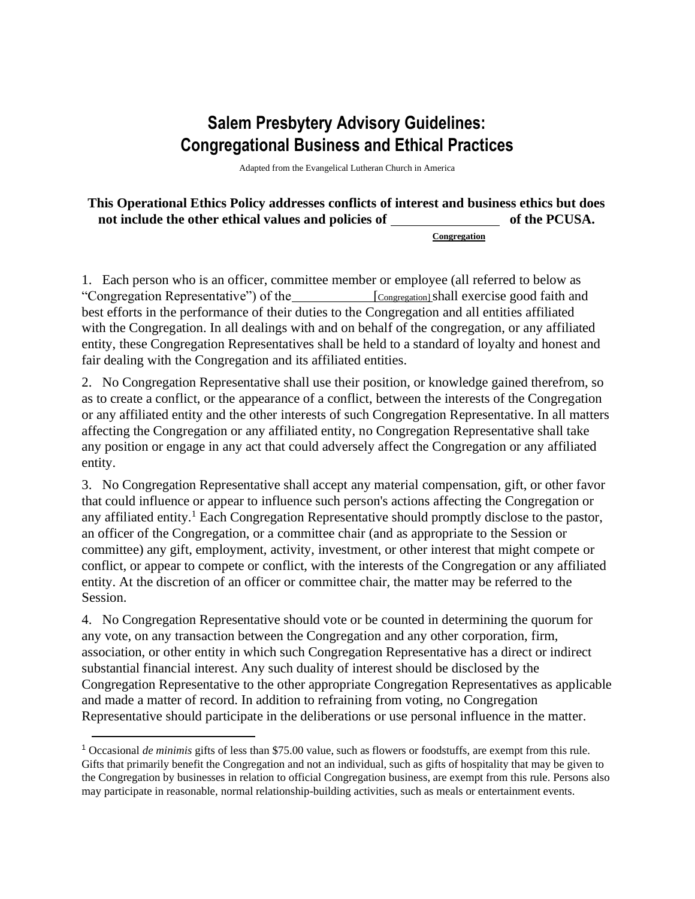## **Salem Presbytery Advisory Guidelines: Congregational Business and Ethical Practices**

Adapted from the Evangelical Lutheran Church in America

**This Operational Ethics Policy addresses conflicts of interest and business ethics but does**  not include the other ethical values and policies of **of the PCUSA**.

**Congregation**

1. Each person who is an officer, committee member or employee (all referred to below as "Congregation Representative") of the [Congregation] shall exercise good faith and best efforts in the performance of their duties to the Congregation and all entities affiliated with the Congregation. In all dealings with and on behalf of the congregation, or any affiliated entity, these Congregation Representatives shall be held to a standard of loyalty and honest and fair dealing with the Congregation and its affiliated entities.

2. No Congregation Representative shall use their position, or knowledge gained therefrom, so as to create a conflict, or the appearance of a conflict, between the interests of the Congregation or any affiliated entity and the other interests of such Congregation Representative. In all matters affecting the Congregation or any affiliated entity, no Congregation Representative shall take any position or engage in any act that could adversely affect the Congregation or any affiliated entity.

3. No Congregation Representative shall accept any material compensation, gift, or other favor that could influence or appear to influence such person's actions affecting the Congregation or any affiliated entity.<sup>1</sup> Each Congregation Representative should promptly disclose to the pastor, an officer of the Congregation, or a committee chair (and as appropriate to the Session or committee) any gift, employment, activity, investment, or other interest that might compete or conflict, or appear to compete or conflict, with the interests of the Congregation or any affiliated entity. At the discretion of an officer or committee chair, the matter may be referred to the Session.

4. No Congregation Representative should vote or be counted in determining the quorum for any vote, on any transaction between the Congregation and any other corporation, firm, association, or other entity in which such Congregation Representative has a direct or indirect substantial financial interest. Any such duality of interest should be disclosed by the Congregation Representative to the other appropriate Congregation Representatives as applicable and made a matter of record. In addition to refraining from voting, no Congregation Representative should participate in the deliberations or use personal influence in the matter.

<sup>1</sup> Occasional *de minimis* gifts of less than \$75.00 value, such as flowers or foodstuffs, are exempt from this rule. Gifts that primarily benefit the Congregation and not an individual, such as gifts of hospitality that may be given to the Congregation by businesses in relation to official Congregation business, are exempt from this rule. Persons also may participate in reasonable, normal relationship-building activities, such as meals or entertainment events.